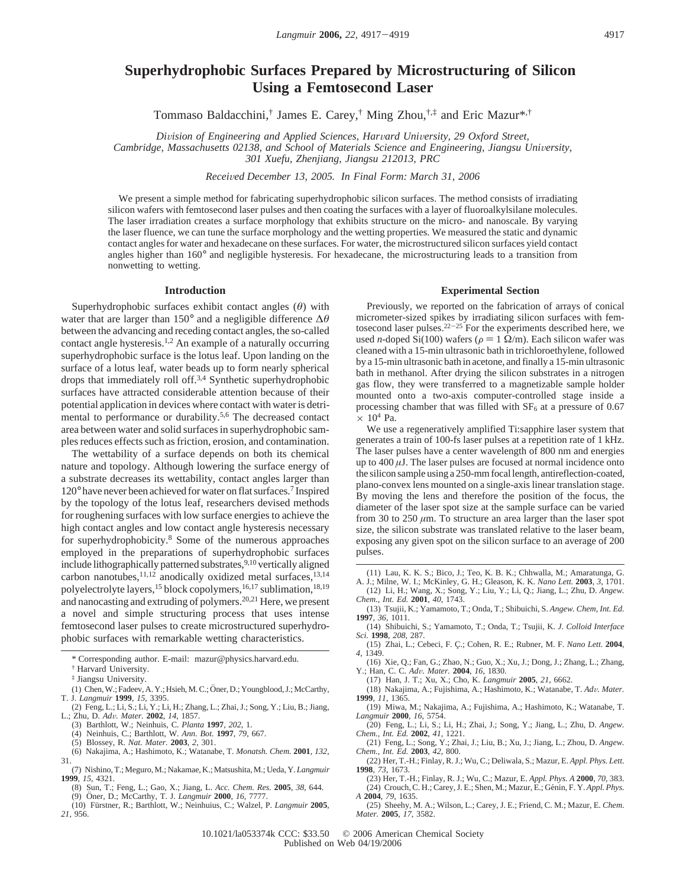# **Superhydrophobic Surfaces Prepared by Microstructuring of Silicon Using a Femtosecond Laser**

Tommaso Baldacchini,† James E. Carey,† Ming Zhou,†,‡ and Eric Mazur\*,†

*Division of Engineering and Applied Sciences, Harvard University, 29 Oxford Street,* 

Cambridge, Massachusetts 02138, and School of Materials Science and Engineering, Jiangsu University, *301 Xuefu, Zhenjiang, Jiangsu 212013, PRC*

*Recei*V*ed December 13, 2005. In Final Form: March 31, 2006*

We present a simple method for fabricating superhydrophobic silicon surfaces. The method consists of irradiating silicon wafers with femtosecond laser pulses and then coating the surfaces with a layer of fluoroalkylsilane molecules. The laser irradiation creates a surface morphology that exhibits structure on the micro- and nanoscale. By varying the laser fluence, we can tune the surface morphology and the wetting properties. We measured the static and dynamic contact angles for water and hexadecane on these surfaces. For water, the microstructured silicon surfaces yield contact angles higher than 160° and negligible hysteresis. For hexadecane, the microstructuring leads to a transition from nonwetting to wetting.

# **Introduction**

Superhydrophobic surfaces exhibit contact angles (*θ*) with water that are larger than 150° and a negligible difference ∆*θ* between the advancing and receding contact angles, the so-called contact angle hysteresis.<sup>1,2</sup> An example of a naturally occurring superhydrophobic surface is the lotus leaf. Upon landing on the surface of a lotus leaf, water beads up to form nearly spherical drops that immediately roll off.3,4 Synthetic superhydrophobic surfaces have attracted considerable attention because of their potential application in devices where contact with water is detrimental to performance or durability.5,6 The decreased contact area between water and solid surfaces in superhydrophobic samples reduces effects such as friction, erosion, and contamination.

The wettability of a surface depends on both its chemical nature and topology. Although lowering the surface energy of a substrate decreases its wettability, contact angles larger than 120° have never been achieved for water on flat surfaces.7 Inspired by the topology of the lotus leaf, researchers devised methods for roughening surfaces with low surface energies to achieve the high contact angles and low contact angle hysteresis necessary for superhydrophobicity.8 Some of the numerous approaches employed in the preparations of superhydrophobic surfaces include lithographically patterned substrates,<sup>9,10</sup> vertically aligned carbon nanotubes,  $11,12$  anodically oxidized metal surfaces,  $13,14$ polyelectrolyte layers,<sup>15</sup> block copolymers,<sup>16,17</sup> sublimation,<sup>18,19</sup> and nanocasting and extruding of polymers.20,21 Here, we present a novel and simple structuring process that uses intense femtosecond laser pulses to create microstructured superhydrophobic surfaces with remarkable wetting characteristics.

\* Corresponding author. E-mail: mazur@physics.harvard.edu.

- (1) Chen, W.; Fadeev, A. Y.; Hsieh, M. C.; Öner, D.; Youngblood, J.; McCarthy, T. J. *Langmuir* **1999**, *15*, 3395.
- (2) Feng, L.; Li, S.; Li, Y.; Li, H.; Zhang, L.; Zhai, J.; Song, Y.; Liu, B.; Jiang, L.; Zhu, D. *Ad*V*. Mater.* **<sup>2002</sup>**, *<sup>14</sup>*, 1857. (3) Barthlott, W.; Neinhuis, C. *Planta* **1997**, *202*, 1.
- 
- (4) Neinhuis, C.; Barthlott, W. *Ann. Bot.* **1997**, *79*, 667.
- (5) Blossey, R. *Nat. Mater.* **2003**, *2*, 301.
- (6) Nakajima, A.; Hashimoto, K.; Watanabe, T. *Monatsh. Chem.* **2001**, *132*, 31.
- (7) Nishino, T.; Meguro, M.; Nakamae, K.; Matsushita, M.; Ueda, Y.*Langmuir* **1999**, *15*, 4321.
	- (8) Sun, T.; Feng, L.; Gao, X.; Jiang, L. *Acc. Chem. Res.* **2005**, 38, 644.<br>(9) Öner, D.; McCarthy, T. J. *Langmuir* **2000**, 16, 7777.<br>(10) Fürstner R · Barthlott W · Neinhuins C · Walzel P *Lanemuir* **200**
	-
- (10) Fu¨rstner, R.; Barthlott, W.; Neinhuius, C.; Walzel, P. *Langmuir* **2005**, *21*, 956.

### **Experimental Section**

Previously, we reported on the fabrication of arrays of conical micrometer-sized spikes by irradiating silicon surfaces with femtosecond laser pulses. $22-25$  For the experiments described here, we used *n*-doped Si(100) wafers ( $\rho = 1 \Omega/m$ ). Each silicon wafer was cleaned with a 15-min ultrasonic bath in trichloroethylene, followed by a 15-min ultrasonic bath in acetone, and finally a 15-min ultrasonic bath in methanol. After drying the silicon substrates in a nitrogen gas flow, they were transferred to a magnetizable sample holder mounted onto a two-axis computer-controlled stage inside a processing chamber that was filled with  $SF<sub>6</sub>$  at a pressure of 0.67  $\times$  10<sup>4</sup> Pa.

We use a regeneratively amplified Ti:sapphire laser system that generates a train of 100-fs laser pulses at a repetition rate of 1 kHz. The laser pulses have a center wavelength of 800 nm and energies up to  $400 \mu$ J. The laser pulses are focused at normal incidence onto the silicon sample using a 250-mm focal length, antireflection-coated, plano-convex lens mounted on a single-axis linear translation stage. By moving the lens and therefore the position of the focus, the diameter of the laser spot size at the sample surface can be varied from 30 to 250  $\mu$ m. To structure an area larger than the laser spot size, the silicon substrate was translated relative to the laser beam, exposing any given spot on the silicon surface to an average of 200 pulses.

- (13) Tsujii, K.; Yamamoto, T.; Onda, T.; Shibuichi, S. *Angew. Chem, Int. Ed.* **1997**, *36*, 1011.
- (14) Shibuichi, S.; Yamamoto, T.; Onda, T.; Tsujii, K. *J. Colloid Interface Sci.* **1998**, *208*, 287.
- (15) Zhai, L.; Cebeci, F. C¸ .; Cohen, R. E.; Rubner, M. F. *Nano Lett.* **<sup>2004</sup>**, *4*, 1349.
- (16) Xie, Q.; Fan, G.; Zhao, N.; Guo, X.; Xu, J.; Dong, J.; Zhang, L.; Zhang, Y.; Han, C. C. *Ad*V*. Mater.* **<sup>2004</sup>**, *<sup>16</sup>*, 1830.
- (17) Han, J. T.; Xu, X.; Cho, K. *Langmuir* **2005**, *21*, 6662.
- (18) Nakajima, A.; Fujishima, A.; Hashimoto, K.; Watanabe, T. *Ad*V*. Mater.* **1999**, *11*, 1365.
- (19) Miwa, M.; Nakajima, A.; Fujishima, A.; Hashimoto, K.; Watanabe, T. *Langmuir* **2000**, *16*, 5754. (20) Feng, L.; Li, S.; Li, H.; Zhai, J.; Song, Y.; Jiang, L.; Zhu, D. *Angew.*
- *Chem., Int. Ed.* **2002**, *41*, 1221.
- (21) Feng, L.; Song, Y.; Zhai, J.; Liu, B.; Xu, J.; Jiang, L.; Zhou, D. *Angew. Chem., Int. Ed.* **2003**, *42*, 800.
- (22) Her, T.-H.; Finlay, R. J.; Wu, C.; Deliwala, S.; Mazur, E. *Appl. Phys. Lett.* **1998**, *73*, 1673.
- (23) Her, T.-H.; Finlay, R. J.; Wu, C.; Mazur, E. *Appl. Phys. A* **2000**, *70*, 383. (24) Crouch, C. H.; Carey, J. E.; Shen, M.; Mazur, E.; Génin, F. Y. Appl. Phys. *A* **2004**, *79*, 1635.
- (25) Sheehy, M. A.; Wilson, L.; Carey, J. E.; Friend, C. M.; Mazur, E. *Chem. Mater.* **2005**, *17*, 3582.

10.1021/la053374k CCC: \$33.50 © 2006 American Chemical Society Published on Web 04/19/2006

<sup>†</sup> Harvard University.

<sup>‡</sup> Jiangsu University.

<sup>(11)</sup> Lau, K. K. S.; Bico, J.; Teo, K. B. K.; Chhwalla, M.; Amaratunga, G. A. J.; Milne, W. I.; McKinley, G. H.; Gleason, K. K. *Nano Lett.* **2003**, *3*, 1701.

<sup>(12)</sup> Li, H.; Wang, X.; Song, Y.; Liu, Y.; Li, Q.; Jiang, L.; Zhu, D. *Angew. Chem., Int. Ed.* **2001**, *40*, 1743.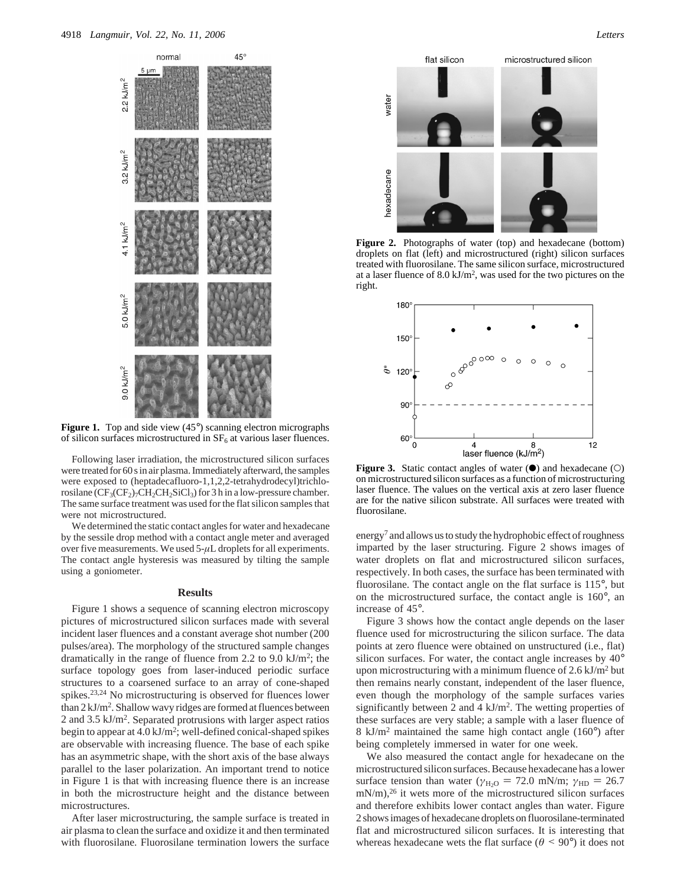

**Figure 1.** Top and side view (45°) scanning electron micrographs of silicon surfaces microstructured in  $SF<sub>6</sub>$  at various laser fluences.

Following laser irradiation, the microstructured silicon surfaces were treated for 60 s in air plasma. Immediately afterward, the samples were exposed to (heptadecafluoro-1,1,2,2-tetrahydrodecyl)trichlorosilane  $(CF_3(CF_2)$ 7CH<sub>2</sub>CH<sub>2</sub>SiCl<sub>3</sub>) for 3 h in a low-pressure chamber. The same surface treatment was used for the flat silicon samples that were not microstructured.

We determined the static contact angles for water and hexadecane by the sessile drop method with a contact angle meter and averaged over five measurements. We used 5-*µ*L droplets for all experiments. The contact angle hysteresis was measured by tilting the sample using a goniometer.

#### **Results**

Figure 1 shows a sequence of scanning electron microscopy pictures of microstructured silicon surfaces made with several incident laser fluences and a constant average shot number (200 pulses/area). The morphology of the structured sample changes dramatically in the range of fluence from 2.2 to 9.0 kJ/m<sup>2</sup>; the surface topology goes from laser-induced periodic surface structures to a coarsened surface to an array of cone-shaped spikes.23,24 No microstructuring is observed for fluences lower than  $2 \text{ kJ/m}^2$ . Shallow wavy ridges are formed at fluences between 2 and 3.5 kJ/m2. Separated protrusions with larger aspect ratios begin to appear at 4.0 kJ/m<sup>2</sup>; well-defined conical-shaped spikes are observable with increasing fluence. The base of each spike has an asymmetric shape, with the short axis of the base always parallel to the laser polarization. An important trend to notice in Figure 1 is that with increasing fluence there is an increase in both the microstructure height and the distance between microstructures.

After laser microstructuring, the sample surface is treated in air plasma to clean the surface and oxidize it and then terminated with fluorosilane. Fluorosilane termination lowers the surface



**Figure 2.** Photographs of water (top) and hexadecane (bottom) droplets on flat (left) and microstructured (right) silicon surfaces treated with fluorosilane. The same silicon surface, microstructured at a laser fluence of  $8.0 \text{ kJ/m}^2$ , was used for the two pictures on the right.



**Figure 3.** Static contact angles of water ( $\bullet$ ) and hexadecane ( $\circ$ ) on microstructured silicon surfaces as a function of microstructuring laser fluence. The values on the vertical axis at zero laser fluence are for the native silicon substrate. All surfaces were treated with fluorosilane.

energy<sup>7</sup> and allows us to study the hydrophobic effect of roughness imparted by the laser structuring. Figure 2 shows images of water droplets on flat and microstructured silicon surfaces, respectively. In both cases, the surface has been terminated with fluorosilane. The contact angle on the flat surface is 115°, but on the microstructured surface, the contact angle is 160°, an increase of 45°.

Figure 3 shows how the contact angle depends on the laser fluence used for microstructuring the silicon surface. The data points at zero fluence were obtained on unstructured (i.e., flat) silicon surfaces. For water, the contact angle increases by 40° upon microstructuring with a minimum fluence of  $2.6 \text{ kJ/m}^2$  but then remains nearly constant, independent of the laser fluence, even though the morphology of the sample surfaces varies significantly between 2 and 4  $kJ/m<sup>2</sup>$ . The wetting properties of these surfaces are very stable; a sample with a laser fluence of 8 kJ/m2 maintained the same high contact angle (160°) after being completely immersed in water for one week.

We also measured the contact angle for hexadecane on the microstructured silicon surfaces. Because hexadecane has a lower surface tension than water ( $\gamma_{\text{H}_2\text{O}} = 72.0$  mN/m;  $\gamma_{\text{HD}} = 26.7$ mN/m),<sup>26</sup> it wets more of the microstructured silicon surfaces and therefore exhibits lower contact angles than water. Figure 2 shows images of hexadecane droplets on fluorosilane-terminated flat and microstructured silicon surfaces. It is interesting that whereas hexadecane wets the flat surface ( $\theta$  < 90°) it does not